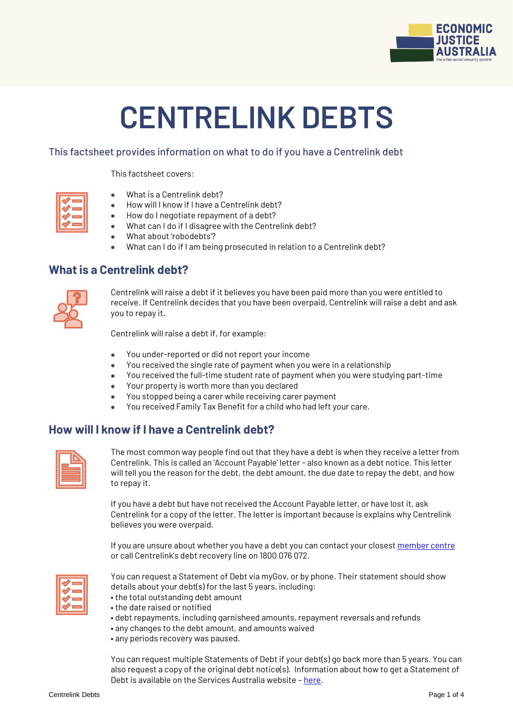

# **CENTRELINK DEBTS**

#### This factsheet provides information on what to do if you have a Centrelink debt

#### This factsheet covers:

| _  |
|----|
| __ |
| _  |
| _  |
|    |

- What is a Centrelink debt?
- How will I know if I have a Centrelink debt?
- How do I negotiate repayment of a debt?
- What can I do if I disagree with the Centrelink debt?
- What about 'robodebts'?
- What can I do if I am being prosecuted in relation to a Centrelink debt?

#### **What is a Centrelink debt?**



Centrelink will raise a debt if it believes you have been paid more than you were entitled to receive. If Centrelink decides that you have been overpaid, Centrelink will raise a debt and ask you to repay it.

Centrelink will raise a debt if, for example:

- You under-reported or did not report your income
- You received the single rate of payment when you were in a relationship
- You received the full-time student rate of payment when you were studying part-time
- Your property is worth more than you declared
- You stopped being a carer while receiving carer payment
- You received Family Tax Benefit for a child who had left your care.

## **How will I know if I have a Centrelink debt?**



The most common way people find out that they have a debt is when they receive a letter from Centrelink. This is called an 'Account Payable' letter - also known as a debt notice. This letter will tell you the reason for the debt, the debt amount, the due date to repay the debt, and how to repay it.

If you have a debt but have not received the Account Payable letter, or have lost it, ask Centrelink for a copy of the letter. The letter is important because is explains why Centrelink believes you were overpaid.

If you are unsure about whether you have a debt you can contact your closes[t member centre](https://www.ejaustralia.org.au/wp/legal-help-centrelink/) or call Centrelink's debt recovery line on 1800 076 072.



You can request a Statement of Debt via myGov, or by phone. Their statement should show details about your debt(s) for the last 5 years, including:

- the total outstanding debt amount
- the date raised or notified
- debt repayments, including garnisheed amounts, repayment reversals and refunds
- any changes to the debt amount, and amounts waived
- any periods recovery was paused.

You can request multiple Statements of Debt if your debt(s) go back more than 5 years. You can also request a copy of the original debt notice(s). Information about how to get a Statement of Debt is available on the Services Australia website – [here.](https://www.servicesaustralia.gov.au/individuals/subjects/centrelink-debts-and-overpayments/what-happens-when-youre-overpaid/if-you-need-information-about-past-centrelink-debts#a1)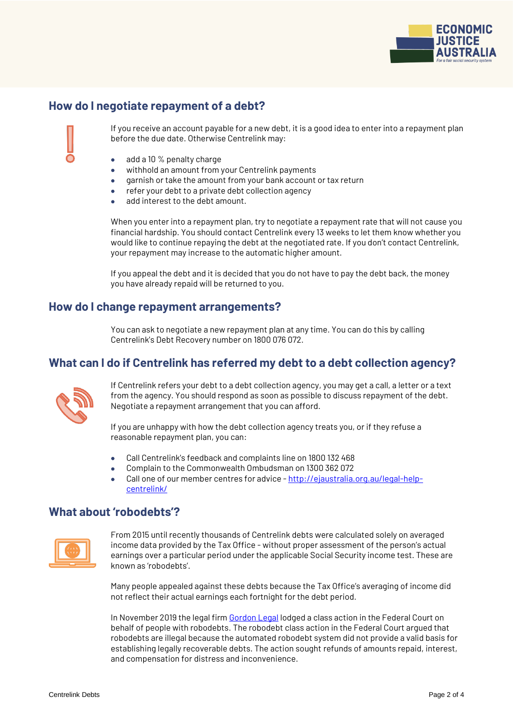

# **How do I negotiate repayment of a debt?**

If you receive an account payable for a new debt, it is a good idea to enter into a repayment plan before the due date. Otherwise Centrelink may:

- add a 10 % penalty charge
- withhold an amount from your Centrelink payments
- garnish or take the amount from your bank account or tax return
- refer your debt to a private debt collection agency
- add interest to the debt amount.

When you enter into a repayment plan, try to negotiate a repayment rate that will not cause you financial hardship. You should contact Centrelink every 13 weeks to let them know whether you would like to continue repaying the debt at the negotiated rate. If you don't contact Centrelink, your repayment may increase to the automatic higher amount.

If you appeal the debt and it is decided that you do not have to pay the debt back, the money you have already repaid will be returned to you.

#### **How do I change repayment arrangements?**

You can ask to negotiate a new repayment plan at any time. You can do this by calling Centrelink's Debt Recovery number on 1800 076 072.

## **What can I do if Centrelink has referred my debt to a debt collection agency?**



If Centrelink refers your debt to a debt collection agency, you may get a call, a letter or a text from the agency. You should respond as soon as possible to discuss repayment of the debt. Negotiate a repayment arrangement that you can afford.

If you are unhappy with how the debt collection agency treats you, or if they refuse a reasonable repayment plan, you can:

- Call Centrelink's feedback and complaints line on 1800 132 468
- Complain to the Commonwealth Ombudsman on 1300 362 072
- Call one of our member centres for advice [http://ejaustralia.org.au/legal-help](http://ejaustralia.org.au/legal-help-centrelink/)[centrelink/](http://ejaustralia.org.au/legal-help-centrelink/)

#### **What about 'robodebts'?**



From 2015 until recently thousands of Centrelink debts were calculated solely on averaged income data provided by the Tax Office - without proper assessment of the person's actual earnings over a particular period under the applicable Social Security income test. These are known as 'robodebts'.

Many people appealed against these debts because the Tax Office's averaging of income did not reflect their actual earnings each fortnight for the debt period.

In November 2019 the legal firm [Gordon Legal](http://www.gordonlegal.com.au/robodebt-class-action) lodged a class action in the Federal Court on behalf of people with robodebts. The robodebt class action in the Federal Court argued that robodebts are illegal because the automated robodebt system did not provide a valid basis for establishing legally recoverable debts. The action sought refunds of amounts repaid, interest, and compensation for distress and inconvenience.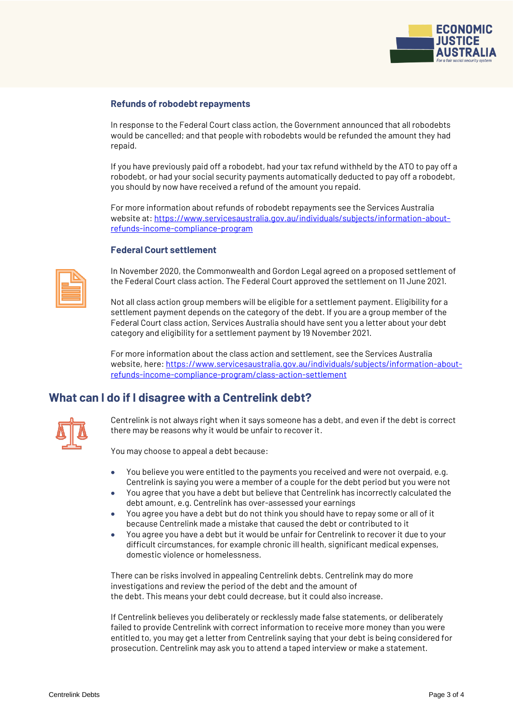

#### **Refunds of robodebt repayments**

In response to the Federal Court class action, the Government announced that all robodebts would be cancelled; and that people with robodebts would be refunded the amount they had repaid.

If you have previously paid off a robodebt, had your tax refund withheld by the ATO to pay off a robodebt, or had your social security payments automatically deducted to pay off a robodebt, you should by now have received a refund of the amount you repaid.

For more information about refunds of robodebt repayments see the Services Australia website at[: https://www.servicesaustralia.gov.au/individuals/subjects/information-about](https://www.servicesaustralia.gov.au/individuals/subjects/information-about-refunds-income-compliance-program)[refunds-income-compliance-program](https://www.servicesaustralia.gov.au/individuals/subjects/information-about-refunds-income-compliance-program)

#### **Federal Court settlement**



In November 2020, the Commonwealth and Gordon Legal agreed on a proposed settlement of the Federal Court class action. The Federal Court approved the settlement on 11 June 2021.

Not all class action group members will be eligible for a settlement payment. Eligibility for a settlement payment depends on the category of the debt. If you are a group member of the Federal Court class action, Services Australia should have sent you a letter about your debt category and eligibility for a settlement payment by 19 November 2021.

For more information about the class action and settlement, see the Services Australia website, here[: https://www.servicesaustralia.gov.au/individuals/subjects/information-about](https://www.servicesaustralia.gov.au/individuals/subjects/information-about-refunds-income-compliance-program/class-action-settlement)[refunds-income-compliance-program/class-action-settlement](https://www.servicesaustralia.gov.au/individuals/subjects/information-about-refunds-income-compliance-program/class-action-settlement)

## **What can I do if I disagree with a Centrelink debt?**



Centrelink is not always right when it says someone has a debt, and even if the debt is correct there may be reasons why it would be unfair to recover it.

You may choose to appeal a debt because:

- You believe you were entitled to the payments you received and were not overpaid, e.g. Centrelink is saying you were a member of a couple for the debt period but you were not
- You agree that you have a debt but believe that Centrelink has incorrectly calculated the debt amount, e.g. Centrelink has over-assessed your earnings
- You agree you have a debt but do not think you should have to repay some or all of it because Centrelink made a mistake that caused the debt or contributed to it
- You agree you have a debt but it would be unfair for Centrelink to recover it due to your difficult circumstances, for example chronic ill health, significant medical expenses, domestic violence or homelessness.

There can be risks involved in appealing Centrelink debts. Centrelink may do more investigations and review the period of the debt and the amount of the debt. This means your debt could decrease, but it could also increase.

If Centrelink believes you deliberately or recklessly made false statements, or deliberately failed to provide Centrelink with correct information to receive more money than you were entitled to, you may get a letter from Centrelink saying that your debt is being considered for prosecution. Centrelink may ask you to attend a taped interview or make a statement.